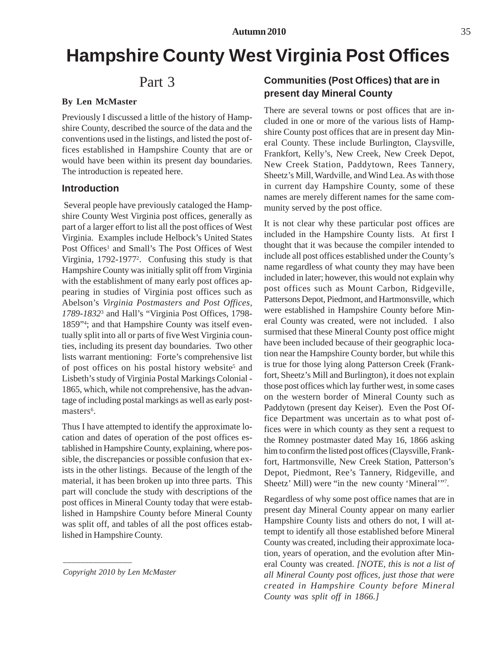# **Hampshire County West Virginia Post Offices**

## Part 3

#### **By Len McMaster**

Previously I discussed a little of the history of Hampshire County, described the source of the data and the conventions used in the listings, and listed the post offices established in Hampshire County that are or would have been within its present day boundaries. The introduction is repeated here.

### **Introduction**

 Several people have previously cataloged the Hampshire County West Virginia post offices, generally as part of a larger effort to list all the post offices of West Virginia. Examples include Helbock's United States Post Offices<sup>1</sup> and Small's The Post Offices of West Virginia, 1792-19772 . Confusing this study is that Hampshire County was initially split off from Virginia with the establishment of many early post offices appearing in studies of Virginia post offices such as Abelson's *Virginia Postmasters and Post Offices, 1789-1832*<sup>3</sup> and Hall's "Virginia Post Offices, 1798- 1859"4 ; and that Hampshire County was itself eventually split into all or parts of five West Virginia counties, including its present day boundaries. Two other lists warrant mentioning: Forte's comprehensive list of post offices on his postal history website<sup>5</sup> and Lisbeth's study of Virginia Postal Markings Colonial - 1865, which, while not comprehensive, has the advantage of including postal markings as well as early postmasters<sup>6</sup>.

Thus I have attempted to identify the approximate location and dates of operation of the post offices established in Hampshire County, explaining, where possible, the discrepancies or possible confusion that exists in the other listings. Because of the length of the material, it has been broken up into three parts. This part will conclude the study with descriptions of the post offices in Mineral County today that were established in Hampshire County before Mineral County was split off, and tables of all the post offices established in Hampshire County.

*Copyright 2010 by Len McMaster*

*––––––––––––––––*

## **Communities (Post Offices) that are in present day Mineral County**

There are several towns or post offices that are included in one or more of the various lists of Hampshire County post offices that are in present day Mineral County. These include Burlington, Claysville, Frankfort, Kelly's, New Creek, New Creek Depot, New Creek Station, Paddytown, Rees Tannery, Sheetz's Mill, Wardville, and Wind Lea. As with those in current day Hampshire County, some of these names are merely different names for the same community served by the post office.

It is not clear why these particular post offices are included in the Hampshire County lists. At first I thought that it was because the compiler intended to include all post offices established under the County's name regardless of what county they may have been included in later; however, this would not explain why post offices such as Mount Carbon, Ridgeville, Pattersons Depot, Piedmont, and Hartmonsville, which were established in Hampshire County before Mineral County was created, were not included. I also surmised that these Mineral County post office might have been included because of their geographic location near the Hampshire County border, but while this is true for those lying along Patterson Creek (Frankfort, Sheetz's Mill and Burlington), it does not explain those post offices which lay further west, in some cases on the western border of Mineral County such as Paddytown (present day Keiser). Even the Post Office Department was uncertain as to what post offices were in which county as they sent a request to the Romney postmaster dated May 16, 1866 asking him to confirm the listed post offices (Claysville, Frankfort, Hartmonsville, New Creek Station, Patterson's Depot, Piedmont, Ree's Tannery, Ridgeville, and Sheetz' Mill) were "in the new county 'Mineral'"<sup>7</sup>.

Regardless of why some post office names that are in present day Mineral County appear on many earlier Hampshire County lists and others do not, I will attempt to identify all those established before Mineral County was created, including their approximate location, years of operation, and the evolution after Mineral County was created. *[NOTE, this is not a list of all Mineral County post offices, just those that were created in Hampshire County before Mineral County was split off in 1866.]*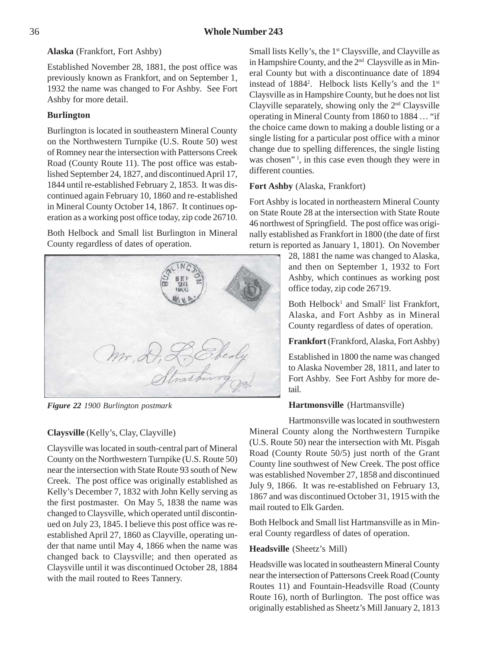**Alaska** (Frankfort, Fort Ashby)

Established November 28, 1881, the post office was previously known as Frankfort, and on September 1, 1932 the name was changed to For Ashby. See Fort Ashby for more detail.

## **Burlington**

Burlington is located in southeastern Mineral County on the Northwestern Turnpike (U.S. Route 50) west of Romney near the intersection with Pattersons Creek Road (County Route 11). The post office was established September 24, 1827, and discontinued April 17, 1844 until re-established February 2, 1853. It was discontinued again February 10, 1860 and re-established in Mineral County October 14, 1867. It continues operation as a working post office today, zip code 26710.

Both Helbock and Small list Burlington in Mineral County regardless of dates of operation.



*Figure 22 1900 Burlington postmark*

## **Claysville** (Kelly's, Clay, Clayville)

Claysville was located in south-central part of Mineral County on the Northwestern Turnpike (U.S. Route 50) near the intersection with State Route 93 south of New Creek. The post office was originally established as Kelly's December 7, 1832 with John Kelly serving as the first postmaster. On May 5, 1838 the name was changed to Claysville, which operated until discontinued on July 23, 1845. I believe this post office was reestablished April 27, 1860 as Clayville, operating under that name until May 4, 1866 when the name was changed back to Claysville; and then operated as Claysville until it was discontinued October 28, 1884 with the mail routed to Rees Tannery.

Small lists Kelly's, the 1<sup>st</sup> Claysville, and Clayville as in Hampshire County, and the 2nd Claysville as in Mineral County but with a discontinuance date of 1894 instead of 1884<sup>2</sup>. Helbock lists Kelly's and the 1st Claysville as in Hampshire County, but he does not list Clayville separately, showing only the  $2<sup>nd</sup>$  Claysville operating in Mineral County from 1860 to 1884 … "if the choice came down to making a double listing or a single listing for a particular post office with a minor change due to spelling differences, the single listing was chosen"<sup>1</sup>, in this case even though they were in different counties.

## **Fort Ashby** (Alaska, Frankfort)

Fort Ashby is located in northeastern Mineral County on State Route 28 at the intersection with State Route 46 northwest of Springfield. The post office was originally established as Frankfort in 1800 (the date of first return is reported as January 1, 1801). On November

> 28, 1881 the name was changed to Alaska, and then on September 1, 1932 to Fort Ashby, which continues as working post office today, zip code 26719.

> Both Helbock<sup>1</sup> and Small<sup>2</sup> list Frankfort, Alaska, and Fort Ashby as in Mineral County regardless of dates of operation.

> **Frankfort** (Frankford, Alaska, Fort Ashby)

Established in 1800 the name was changed to Alaska November 28, 1811, and later to Fort Ashby. See Fort Ashby for more detail.

## **Hartmonsville** (Hartmansville)

Hartmonsville was located in southwestern Mineral County along the Northwestern Turnpike (U.S. Route 50) near the intersection with Mt. Pisgah Road (County Route 50/5) just north of the Grant County line southwest of New Creek. The post office was established November 27, 1858 and discontinued July 9, 1866. It was re-established on February 13, 1867 and was discontinued October 31, 1915 with the mail routed to Elk Garden.

Both Helbock and Small list Hartmansville as in Mineral County regardless of dates of operation.

## **Headsville** (Sheetz's Mill)

Headsville was located in southeastern Mineral County near the intersection of Pattersons Creek Road (County Routes 11) and Fountain-Headsville Road (County Route 16), north of Burlington. The post office was originally established as Sheetz's Mill January 2, 1813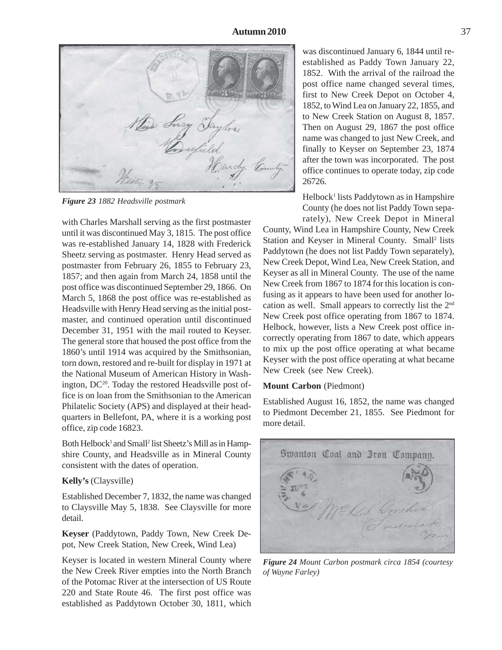*Figure 23 1882 Headsville postmark*

with Charles Marshall serving as the first postmaster until it was discontinued May 3, 1815. The post office was re-established January 14, 1828 with Frederick Sheetz serving as postmaster. Henry Head served as postmaster from February 26, 1855 to February 23, 1857; and then again from March 24, 1858 until the post office was discontinued September 29, 1866. On March 5, 1868 the post office was re-established as Headsville with Henry Head serving as the initial postmaster, and continued operation until discontinued December 31, 1951 with the mail routed to Keyser. The general store that housed the post office from the 1860's until 1914 was acquired by the Smithsonian, torn down, restored and re-built for display in 1971 at the National Museum of American History in Washington,  $DC^{20}$ . Today the restored Headsville post office is on loan from the Smithsonian to the American Philatelic Society (APS) and displayed at their headquarters in Bellefont, PA, where it is a working post office, zip code 16823.

Both Helbock<sup>1</sup> and Small<sup>2</sup> list Sheetz's Mill as in Hampshire County, and Headsville as in Mineral County consistent with the dates of operation.

#### **Kelly's** (Claysville)

Established December 7, 1832, the name was changed to Claysville May 5, 1838. See Claysville for more detail.

**Keyser** (Paddytown, Paddy Town, New Creek Depot, New Creek Station, New Creek, Wind Lea)

Keyser is located in western Mineral County where the New Creek River empties into the North Branch of the Potomac River at the intersection of US Route 220 and State Route 46. The first post office was established as Paddytown October 30, 1811, which

was discontinued January 6, 1844 until reestablished as Paddy Town January 22, 1852. With the arrival of the railroad the post office name changed several times, first to New Creek Depot on October 4, 1852, to Wind Lea on January 22, 1855, and to New Creek Station on August 8, 1857. Then on August 29, 1867 the post office name was changed to just New Creek, and finally to Keyser on September 23, 1874 after the town was incorporated. The post office continues to operate today, zip code 26726.

Helbock<sup>1</sup> lists Paddytown as in Hampshire County (he does not list Paddy Town separately), New Creek Depot in Mineral

County, Wind Lea in Hampshire County, New Creek Station and Keyser in Mineral County. Small<sup>2</sup> lists Paddytown (he does not list Paddy Town separately), New Creek Depot, Wind Lea, New Creek Station, and Keyser as all in Mineral County. The use of the name New Creek from 1867 to 1874 for this location is confusing as it appears to have been used for another location as well. Small appears to correctly list the 2nd New Creek post office operating from 1867 to 1874. Helbock, however, lists a New Creek post office incorrectly operating from 1867 to date, which appears to mix up the post office operating at what became Keyser with the post office operating at what became New Creek (see New Creek).

#### **Mount Carbon** (Piedmont)

Established August 16, 1852, the name was changed to Piedmont December 21, 1855. See Piedmont for more detail.



*Figure 24 Mount Carbon postmark circa 1854 (courtesy of Wayne Farley)*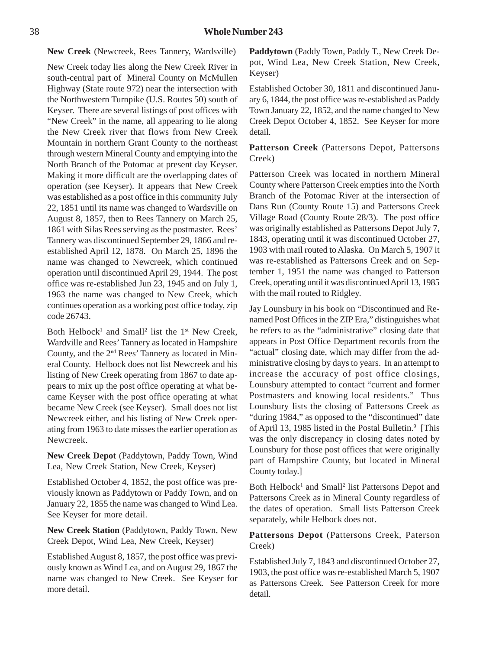**New Creek** (Newcreek, Rees Tannery, Wardsville)

New Creek today lies along the New Creek River in south-central part of Mineral County on McMullen Highway (State route 972) near the intersection with the Northwestern Turnpike (U.S. Routes 50) south of Keyser. There are several listings of post offices with "New Creek" in the name, all appearing to lie along the New Creek river that flows from New Creek Mountain in northern Grant County to the northeast through western Mineral County and emptying into the North Branch of the Potomac at present day Keyser. Making it more difficult are the overlapping dates of operation (see Keyser). It appears that New Creek was established as a post office in this community July 22, 1851 until its name was changed to Wardsville on August 8, 1857, then to Rees Tannery on March 25, 1861 with Silas Rees serving as the postmaster. Rees' Tannery was discontinued September 29, 1866 and reestablished April 12, 1878. On March 25, 1896 the name was changed to Newcreek, which continued operation until discontinued April 29, 1944. The post office was re-established Jun 23, 1945 and on July 1, 1963 the name was changed to New Creek, which continues operation as a working post office today, zip code 26743.

Both Helbock<sup>1</sup> and Small<sup>2</sup> list the  $1<sup>st</sup>$  New Creek, Wardville and Rees' Tannery as located in Hampshire County, and the 2nd Rees' Tannery as located in Mineral County. Helbock does not list Newcreek and his listing of New Creek operating from 1867 to date appears to mix up the post office operating at what became Keyser with the post office operating at what became New Creek (see Keyser). Small does not list Newcreek either, and his listing of New Creek operating from 1963 to date misses the earlier operation as Newcreek.

**New Creek Depot** (Paddytown, Paddy Town, Wind Lea, New Creek Station, New Creek, Keyser)

Established October 4, 1852, the post office was previously known as Paddytown or Paddy Town, and on January 22, 1855 the name was changed to Wind Lea. See Keyser for more detail.

**New Creek Station** (Paddytown, Paddy Town, New Creek Depot, Wind Lea, New Creek, Keyser)

Established August 8, 1857, the post office was previously known as Wind Lea, and on August 29, 1867 the name was changed to New Creek. See Keyser for more detail.

**Paddytown** (Paddy Town, Paddy T., New Creek Depot, Wind Lea, New Creek Station, New Creek, Keyser)

Established October 30, 1811 and discontinued January 6, 1844, the post office was re-established as Paddy Town January 22, 1852, and the name changed to New Creek Depot October 4, 1852. See Keyser for more detail.

#### **Patterson Creek** (Pattersons Depot, Pattersons Creek)

Patterson Creek was located in northern Mineral County where Patterson Creek empties into the North Branch of the Potomac River at the intersection of Dans Run (County Route 15) and Pattersons Creek Village Road (County Route 28/3). The post office was originally established as Pattersons Depot July 7, 1843, operating until it was discontinued October 27, 1903 with mail routed to Alaska. On March 5, 1907 it was re-established as Pattersons Creek and on September 1, 1951 the name was changed to Patterson Creek, operating until it was discontinued April 13, 1985 with the mail routed to Ridgley.

Jay Lounsbury in his book on "Discontinued and Renamed Post Offices in the ZIP Era," distinguishes what he refers to as the "administrative" closing date that appears in Post Office Department records from the "actual" closing date, which may differ from the administrative closing by days to years. In an attempt to increase the accuracy of post office closings, Lounsbury attempted to contact "current and former Postmasters and knowing local residents." Thus Lounsbury lists the closing of Pattersons Creek as "during 1984," as opposed to the "discontinued" date of April 13, 1985 listed in the Postal Bulletin.<sup>9</sup> [This was the only discrepancy in closing dates noted by Lounsbury for those post offices that were originally part of Hampshire County, but located in Mineral County today.]

Both Helbock<sup>1</sup> and Small<sup>2</sup> list Pattersons Depot and Pattersons Creek as in Mineral County regardless of the dates of operation. Small lists Patterson Creek separately, while Helbock does not.

**Pattersons Depot** (Pattersons Creek, Paterson Creek)

Established July 7, 1843 and discontinued October 27, 1903, the post office was re-established March 5, 1907 as Pattersons Creek. See Patterson Creek for more detail.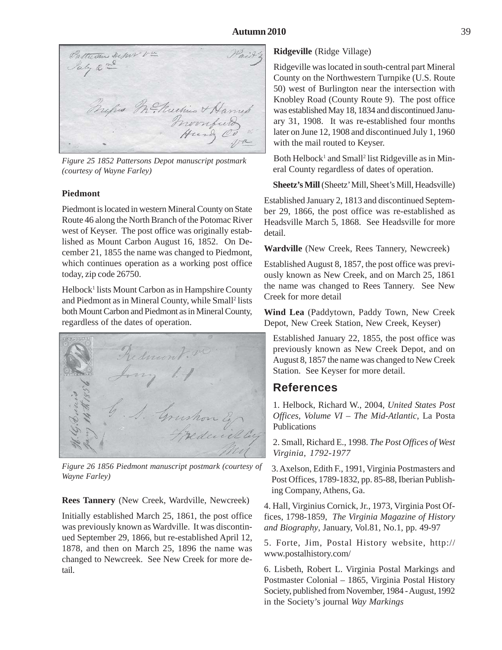Patterson Depor va July 2 nd Tripes Mc Muchine & Harry's

*Figure 25 1852 Pattersons Depot manuscript postmark (courtesy of Wayne Farley)*

## **Piedmont**

Piedmont is located in western Mineral County on State Route 46 along the North Branch of the Potomac River west of Keyser. The post office was originally established as Mount Carbon August 16, 1852. On December 21, 1855 the name was changed to Piedmont, which continues operation as a working post office today, zip code 26750.

Helbock<sup>1</sup> lists Mount Carbon as in Hampshire County and Piedmont as in Mineral County, while Small<sup>2</sup> lists both Mount Carbon and Piedmont as in Mineral County, regardless of the dates of operation.



*Figure 26 1856 Piedmont manuscript postmark (courtesy of Wayne Farley)*

#### **Rees Tannery** (New Creek, Wardville, Newcreek)

Initially established March 25, 1861, the post office was previously known as Wardville. It was discontinued September 29, 1866, but re-established April 12, 1878, and then on March 25, 1896 the name was changed to Newcreek. See New Creek for more detail.

#### **Ridgeville** (Ridge Village)

Ridgeville was located in south-central part Mineral County on the Northwestern Turnpike (U.S. Route 50) west of Burlington near the intersection with Knobley Road (County Route 9). The post office was established May 18, 1834 and discontinued January 31, 1908. It was re-established four months later on June 12, 1908 and discontinued July 1, 1960 with the mail routed to Keyser.

Both Helbock<sup>1</sup> and Small<sup>2</sup> list Ridgeville as in Mineral County regardless of dates of operation.

**Sheetz's Mill** (Sheetz' Mill, Sheet's Mill, Headsville)

Established January 2, 1813 and discontinued September 29, 1866, the post office was re-established as Headsville March 5, 1868. See Headsville for more detail.

**Wardville** (New Creek, Rees Tannery, Newcreek)

Established August 8, 1857, the post office was previously known as New Creek, and on March 25, 1861 the name was changed to Rees Tannery. See New Creek for more detail

**Wind Lea** (Paddytown, Paddy Town, New Creek Depot, New Creek Station, New Creek, Keyser)

Established January 22, 1855, the post office was previously known as New Creek Depot, and on August 8, 1857 the name was changed to New Creek Station. See Keyser for more detail.

## **References**

1. Helbock, Richard W., 2004, *United States Post Offices, Volume VI – The Mid-Atlantic*, La Posta Publications

2. Small, Richard E., 1998. *The Post Offices of West Virginia, 1792-1977*

3. Axelson, Edith F., 1991, Virginia Postmasters and Post Offices, 1789-1832, pp. 85-88, Iberian Publishing Company, Athens, Ga.

4. Hall, Virginius Cornick, Jr., 1973, Virginia Post Offices, 1798-1859, *The Virginia Magazine of History and Biography*, January, Vol.81, No.1, pp. 49-97

5. Forte, Jim, Postal History website, http:// www.postalhistory.com/

6. Lisbeth, Robert L. Virginia Postal Markings and Postmaster Colonial – 1865, Virginia Postal History Society, published from November, 1984 - August, 1992 in the Society's journal *Way Markings*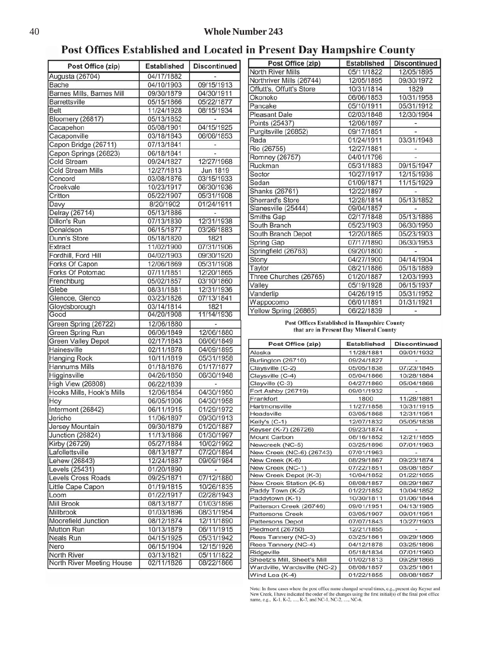Post Offices Established and Located in Present Day Hampshire County

| Post Office (zip)                        | <b>Established</b>       | <b>Discontinued</b>      |
|------------------------------------------|--------------------------|--------------------------|
| Augusta (26704)                          | 04/17/1882               |                          |
| Bache                                    | 04/10/1903               | 09/15/1913               |
| Barnes Mills, Barnes Mill                | 09/30/1879               | 04/30/1911               |
| <b>Barrettsville</b>                     | 05/15/1866               | 05/22/1877               |
| <b>Belt</b>                              | 11/24/1928               | 08/15/1934               |
| <b>Bloomery (26817)</b>                  | 05/13/1852               |                          |
| Cacapehon                                | 05/08/1901               | 04/15/1925               |
| Cacaponville                             | 03/18/1843               | 06/06/1853               |
| Capon Bridge (26711)                     | 07/13/1841               |                          |
| Capon Springs (26823)                    | 06/18/1841               |                          |
| <b>Cold Stream</b>                       | 09/24/1827               | 12/27/1968               |
| <b>Cold Stream Mills</b>                 | 12/27/1813               | <b>Jun 1819</b>          |
| Concord                                  | 03/08/1876               | 03/15/1933               |
| Creekvale                                | 10/23/1917               | 06/30/1936               |
| Critton                                  | 05/22/1907               | 05/31/1908               |
| Davy                                     | 8/20/1902                | 01/24/1911               |
| Delray (26714)<br>Dillon's Run           | 05/13/1886<br>07/13/1830 |                          |
| Donaldson                                | 06/15/1877               | 12/31/1938<br>03/26/1883 |
| Dunn's Store                             | 05/18/1820               | 1821                     |
| Extract                                  | 11/02/1900               | 07/31/1906               |
| Fordhill, Ford Hill                      | 04/02/1903               | 09/30/1920               |
| Forks Of Capon                           | 12/06/1869               | 05/31/1908               |
| <b>Forks Of Potomac</b>                  | 07/11/1851               | 12/20/1865               |
| Frenchburg                               | 05/02/1857               | 03/10/1860               |
| Glebe                                    | 08/31/1881               | 12/31/1936               |
| Glencoe, Glenco                          | 03/23/1826               | 07/13/1841               |
| Gloydsborough                            | 03/14/1814               | 1821                     |
| Good                                     | 04/20/1908               | 11/14/1936               |
| Green Spring (26722)                     | 12/06/1880               |                          |
| Green Spring Run                         | 06/06/1849               | 12/06/1880               |
| <b>Green Valley Depot</b>                | 02/17/1843               | 06/06/1849               |
| Hainesville                              | 02/11/1878               | 04/09/1895               |
| <b>Hanging Rock</b>                      | 10/11/1819               | 05/31/1958               |
| <b>Hannums Mills</b>                     | 01/18/1876               | 01/17/1877               |
| Higginsville                             | 04/26/1850               | 06/30/1948               |
| High View (26808)                        | 06/22/1839               |                          |
| Hooks Mills, Hook's Mills                | 12/06/1854               | 04/30/1950               |
| Hoy                                      | 06/05/1906               | 04/30/1958               |
| Intermont (26842)                        | 06/11/1915               | 01/29/1972               |
| Jericho                                  | 11/06/1897               | 09/30/1913               |
| Jersey Mountain                          | 09/30/1879               | 01/20/1887               |
| Junction (26824)                         | 11/13/1866               | 01/30/1997               |
| Kirby (26729)                            | 05/27/1884               | 10/02/1992               |
| Lafollettsville                          | 08/13/1877               | 07/20/1894               |
| Lehew (26843)                            | 12/24/1887               | 09/09/1984               |
| Levels (25431)                           | 01/20/1890               | $\frac{1}{2}$            |
| Levels Cross Roads                       | 09/25/1871               | 07/12/1880               |
| Little Cape Capon                        | 01/19/1815               | 10/26/1835               |
| Loom                                     | 01/22/1917               | 02/28/1943               |
| Mill Brook                               | 08/13/1877               | 01/03/1896               |
| Millbrook                                | 01/03/1896               | 08/31/1954               |
| Moorefield Junction                      | 08/12/1874               | 12/11/1890               |
| Mutton Run                               | 10/13/1879               | 06/11/1915               |
| Neals Run                                | 04/15/1925               | 05/31/1942               |
| Nero                                     | 06/15/1904               | 12/15/1926               |
| North River<br>North River Meeting House | 03/13/1821<br>02/11/1826 | 05/11/1822<br>08/22/1866 |
|                                          |                          |                          |

| Post Office (zip)        | <b>Established</b> | <b>Discontinued</b> |
|--------------------------|--------------------|---------------------|
| <b>North River Mills</b> | 05/11/1822         | 12/05/1895          |
| Northriver Mills (26744) | 12/05/1895         | 09/30/1972          |
| Offutt's, Offutt's Store | 10/31/1814         | 1829                |
| Okonoko                  | 06/06/1853         | 10/31/1958          |
| Pancake                  | 05/10/1911         | 05/31/1912          |
| <b>Pleasant Dale</b>     | 02/03/1848         | 12/30/1964          |
| Points (25437)           | 12/08/1897         |                     |
| Purgitsville (26852)     | 09/17/1851         |                     |
| Rada                     | 01/24/1911         | 03/31/1948          |
| Rio (26755)              | 12/27/1881         |                     |
| Romney (26757)           | 04/01/1796         |                     |
| Ruckman                  | 05/31/1883         | 09/15/1947          |
| Sector                   | 10/27/1917         | 12/15/1936          |
| Sedan                    | 01/09/1871         | 11/15/1929          |
| Shanks (26761)           | 12/22/1897         |                     |
| <b>Sherrard's Store</b>  | 12/28/1814         | 05/13/1852          |
| Slanesville (25444)      | 09/04/1857         |                     |
| Smiths Gap               | 02/17/1848         | 05/13/1886          |
| South Branch             | 05/23/1903         | 06/30/1950          |
| South Branch Depot       | 12/20/1865         | 05/23/1903          |
| <b>Spring Gap</b>        | 07/17/1890         | 06/30/1953          |
| Springfield (26763)      | 09/20/1800         |                     |
| Stony                    | 04/27/1900         | 04/14/1904          |
| Taylor                   | 08/21/1886         | 05/18/1889          |
| Three Churches (26765)   | 01/20/1887         | 12/03/1993          |
| Valley                   | 05/19/1928         | 06/15/1937          |
| Vanderlip                | 04/26/1915         | 05/31/1952          |
| Wappocomo                | 06/01/1891         | 01/31/1921          |
| Yellow Spring (26865)    | 06/22/1839         |                     |

#### **Post Offices Established in Hampshire County** that are in Present Day Mineral County

| <b>Established</b> | <b>Discontinued</b> |
|--------------------|---------------------|
| 11/28/1881         | 09/01/1932          |
| 09/24/1827         |                     |
| 05/05/1838         | 07/23/1845          |
| 05/04/1866         | 10/28/1884          |
| 04/27/1860         | 05/04/1866          |
| 09/01/1932         |                     |
| 1800               | 11/28/1881          |
| 11/27/1858         | 10/31/1915          |
| 03/05/1868         | 12/31/1951          |
| 12/07/1832         | 05/05/1838          |
| 09/23/1874         |                     |
| 08/16/1852         | 12/21/1855          |
| 03/25/1896         | 07/01/1963          |
| 07/01/1963         |                     |
| 08/29/1867         | 09/23/1874          |
| 07/22/1851         | 08/08/1857          |
| 10/04/1852         | 01/22/1855          |
| 08/08/1857         | 08/29/1867          |
| 01/22/1852         | 10/04/1852          |
| 10/30/1811         | 01/06/1844          |
| 09/01/1951         | 04/13/1985          |
| 03/05/1907         | 09/01/1951          |
| 07/07/1843         | 10/27/1903          |
| 12/21/1855         |                     |
| 03/25/1861         | 09/29/1866          |
| 04/12/1878         | 03/25/1896          |
| 05/18/1834         | 07/01/1960          |
| 01/02/1813         | 09/29/1866          |
| 08/08/1857         | 03/25/1861          |
| 01/22/1855         | 08/08/1857          |
|                    |                     |

Note: In those cases where the post office name changed several times, e.g., present day Keyser and<br>New Creek, I have indicated the order of the changes using the first initial(s) of the final post office<br>name, e.g., K-1,